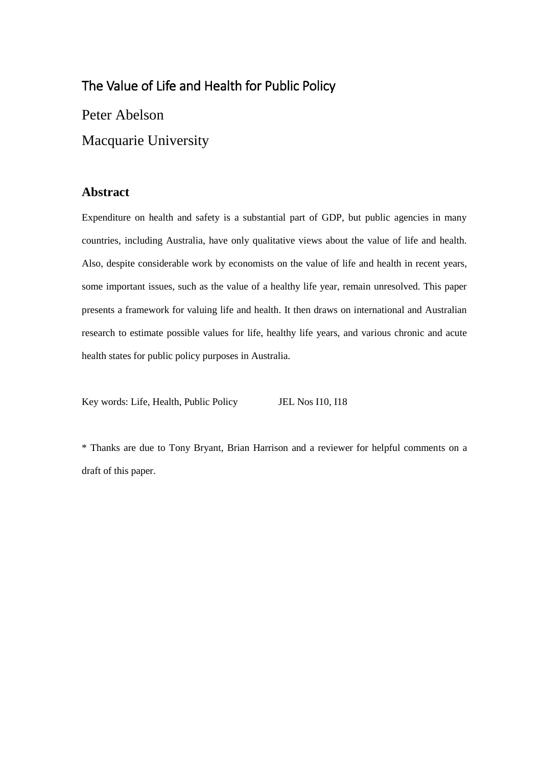## The Value of Life and Health for Public Policy

Peter Abelson Macquarie University

## **Abstract**

Expenditure on health and safety is a substantial part of GDP, but public agencies in many countries, including Australia, have only qualitative views about the value of life and health. Also, despite considerable work by economists on the value of life and health in recent years, some important issues, such as the value of a healthy life year, remain unresolved. This paper presents a framework for valuing life and health. It then draws on international and Australian research to estimate possible values for life, healthy life years, and various chronic and acute health states for public policy purposes in Australia.

Key words: Life, Health, Public Policy JEL Nos I10, I18

\* Thanks are due to Tony Bryant, Brian Harrison and a reviewer for helpful comments on a draft of this paper.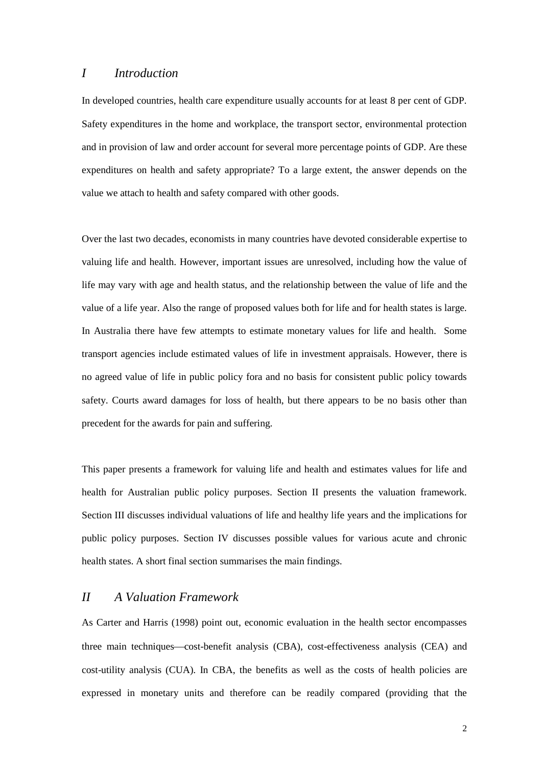## *I Introduction*

In developed countries, health care expenditure usually accounts for at least 8 per cent of GDP. Safety expenditures in the home and workplace, the transport sector, environmental protection and in provision of law and order account for several more percentage points of GDP. Are these expenditures on health and safety appropriate? To a large extent, the answer depends on the value we attach to health and safety compared with other goods.

Over the last two decades, economists in many countries have devoted considerable expertise to valuing life and health. However, important issues are unresolved, including how the value of life may vary with age and health status, and the relationship between the value of life and the value of a life year. Also the range of proposed values both for life and for health states is large. In Australia there have few attempts to estimate monetary values for life and health. Some transport agencies include estimated values of life in investment appraisals. However, there is no agreed value of life in public policy fora and no basis for consistent public policy towards safety. Courts award damages for loss of health, but there appears to be no basis other than precedent for the awards for pain and suffering.

This paper presents a framework for valuing life and health and estimates values for life and health for Australian public policy purposes. Section II presents the valuation framework. Section III discusses individual valuations of life and healthy life years and the implications for public policy purposes. Section IV discusses possible values for various acute and chronic health states. A short final section summarises the main findings.

## *II A Valuation Framework*

As Carter and Harris (1998) point out, economic evaluation in the health sector encompasses three main techniques—cost-benefit analysis (CBA), cost-effectiveness analysis (CEA) and cost-utility analysis (CUA). In CBA, the benefits as well as the costs of health policies are expressed in monetary units and therefore can be readily compared (providing that the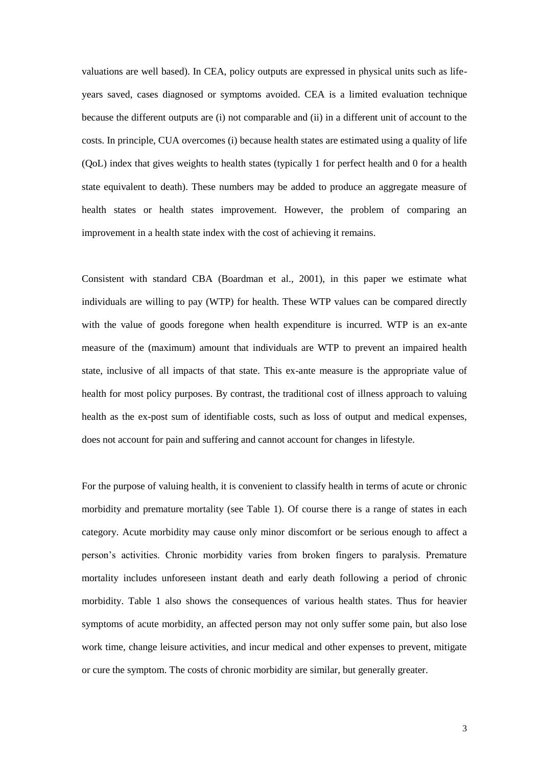valuations are well based). In CEA, policy outputs are expressed in physical units such as lifeyears saved, cases diagnosed or symptoms avoided. CEA is a limited evaluation technique because the different outputs are (i) not comparable and (ii) in a different unit of account to the costs. In principle, CUA overcomes (i) because health states are estimated using a quality of life (QoL) index that gives weights to health states (typically 1 for perfect health and 0 for a health state equivalent to death). These numbers may be added to produce an aggregate measure of health states or health states improvement. However, the problem of comparing an improvement in a health state index with the cost of achieving it remains.

Consistent with standard CBA (Boardman et al., 2001), in this paper we estimate what individuals are willing to pay (WTP) for health. These WTP values can be compared directly with the value of goods foregone when health expenditure is incurred. WTP is an ex-ante measure of the (maximum) amount that individuals are WTP to prevent an impaired health state, inclusive of all impacts of that state. This ex-ante measure is the appropriate value of health for most policy purposes. By contrast, the traditional cost of illness approach to valuing health as the ex-post sum of identifiable costs, such as loss of output and medical expenses, does not account for pain and suffering and cannot account for changes in lifestyle.

For the purpose of valuing health, it is convenient to classify health in terms of acute or chronic morbidity and premature mortality (see Table 1). Of course there is a range of states in each category. Acute morbidity may cause only minor discomfort or be serious enough to affect a person's activities. Chronic morbidity varies from broken fingers to paralysis. Premature mortality includes unforeseen instant death and early death following a period of chronic morbidity. Table 1 also shows the consequences of various health states. Thus for heavier symptoms of acute morbidity, an affected person may not only suffer some pain, but also lose work time, change leisure activities, and incur medical and other expenses to prevent, mitigate or cure the symptom. The costs of chronic morbidity are similar, but generally greater.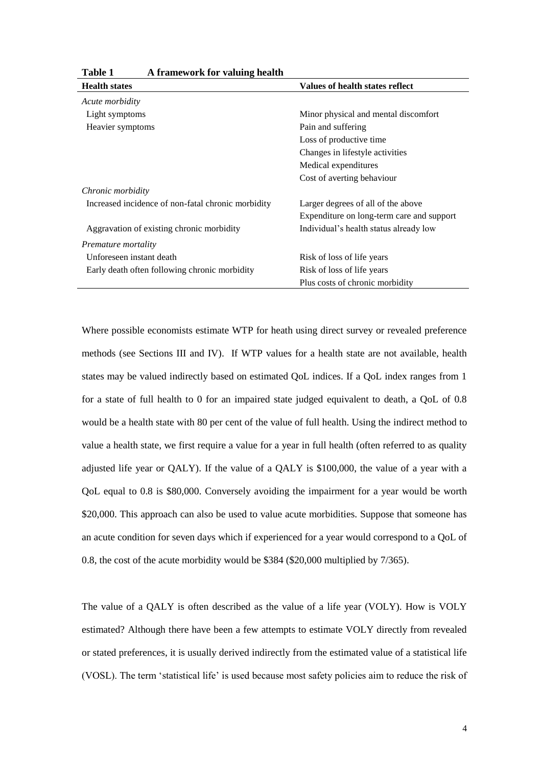| <b>Health states</b>                               | Values of health states reflect           |
|----------------------------------------------------|-------------------------------------------|
| Acute morbidity                                    |                                           |
| Light symptoms                                     | Minor physical and mental discomfort      |
| Heavier symptoms                                   | Pain and suffering                        |
|                                                    | Loss of productive time                   |
|                                                    | Changes in lifestyle activities           |
|                                                    | Medical expenditures                      |
|                                                    | Cost of averting behaviour                |
| Chronic morbidity                                  |                                           |
| Increased incidence of non-fatal chronic morbidity | Larger degrees of all of the above        |
|                                                    | Expenditure on long-term care and support |
| Aggravation of existing chronic morbidity          | Individual's health status already low    |
| <i>Premature mortality</i>                         |                                           |
| Unforeseen instant death                           | Risk of loss of life years                |
| Early death often following chronic morbidity      | Risk of loss of life years                |
|                                                    | Plus costs of chronic morbidity           |

**Table 1 A framework for valuing health**

Where possible economists estimate WTP for heath using direct survey or revealed preference methods (see Sections III and IV). If WTP values for a health state are not available, health states may be valued indirectly based on estimated QoL indices. If a QoL index ranges from 1 for a state of full health to 0 for an impaired state judged equivalent to death, a QoL of 0.8 would be a health state with 80 per cent of the value of full health. Using the indirect method to value a health state, we first require a value for a year in full health (often referred to as quality adjusted life year or QALY). If the value of a QALY is \$100,000, the value of a year with a QoL equal to 0.8 is \$80,000. Conversely avoiding the impairment for a year would be worth \$20,000. This approach can also be used to value acute morbidities. Suppose that someone has an acute condition for seven days which if experienced for a year would correspond to a QoL of 0.8, the cost of the acute morbidity would be \$384 (\$20,000 multiplied by 7/365).

The value of a QALY is often described as the value of a life year (VOLY). How is VOLY estimated? Although there have been a few attempts to estimate VOLY directly from revealed or stated preferences, it is usually derived indirectly from the estimated value of a statistical life (VOSL). The term 'statistical life' is used because most safety policies aim to reduce the risk of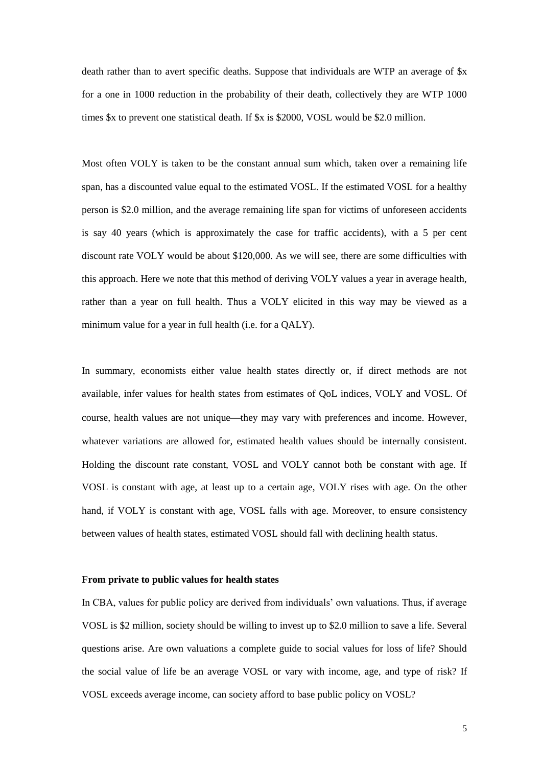death rather than to avert specific deaths. Suppose that individuals are WTP an average of \$x for a one in 1000 reduction in the probability of their death, collectively they are WTP 1000 times \$x to prevent one statistical death. If \$x is \$2000, VOSL would be \$2.0 million.

Most often VOLY is taken to be the constant annual sum which, taken over a remaining life span, has a discounted value equal to the estimated VOSL. If the estimated VOSL for a healthy person is \$2.0 million, and the average remaining life span for victims of unforeseen accidents is say 40 years (which is approximately the case for traffic accidents), with a 5 per cent discount rate VOLY would be about \$120,000. As we will see, there are some difficulties with this approach. Here we note that this method of deriving VOLY values a year in average health, rather than a year on full health. Thus a VOLY elicited in this way may be viewed as a minimum value for a year in full health (i.e. for a QALY).

In summary, economists either value health states directly or, if direct methods are not available, infer values for health states from estimates of QoL indices, VOLY and VOSL. Of course, health values are not unique—they may vary with preferences and income. However, whatever variations are allowed for, estimated health values should be internally consistent. Holding the discount rate constant, VOSL and VOLY cannot both be constant with age. If VOSL is constant with age, at least up to a certain age, VOLY rises with age. On the other hand, if VOLY is constant with age, VOSL falls with age. Moreover, to ensure consistency between values of health states, estimated VOSL should fall with declining health status.

#### **From private to public values for health states**

In CBA, values for public policy are derived from individuals' own valuations. Thus, if average VOSL is \$2 million, society should be willing to invest up to \$2.0 million to save a life. Several questions arise. Are own valuations a complete guide to social values for loss of life? Should the social value of life be an average VOSL or vary with income, age, and type of risk? If VOSL exceeds average income, can society afford to base public policy on VOSL?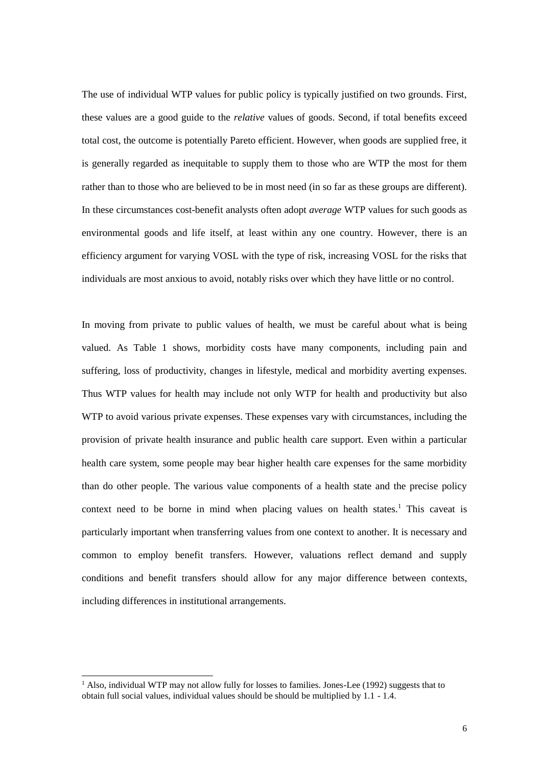The use of individual WTP values for public policy is typically justified on two grounds. First, these values are a good guide to the *relative* values of goods. Second, if total benefits exceed total cost, the outcome is potentially Pareto efficient. However, when goods are supplied free, it is generally regarded as inequitable to supply them to those who are WTP the most for them rather than to those who are believed to be in most need (in so far as these groups are different). In these circumstances cost-benefit analysts often adopt *average* WTP values for such goods as environmental goods and life itself, at least within any one country. However, there is an efficiency argument for varying VOSL with the type of risk, increasing VOSL for the risks that individuals are most anxious to avoid, notably risks over which they have little or no control.

In moving from private to public values of health, we must be careful about what is being valued. As Table 1 shows, morbidity costs have many components, including pain and suffering, loss of productivity, changes in lifestyle, medical and morbidity averting expenses. Thus WTP values for health may include not only WTP for health and productivity but also WTP to avoid various private expenses. These expenses vary with circumstances, including the provision of private health insurance and public health care support. Even within a particular health care system, some people may bear higher health care expenses for the same morbidity than do other people. The various value components of a health state and the precise policy context need to be borne in mind when placing values on health states.<sup>1</sup> This caveat is particularly important when transferring values from one context to another. It is necessary and common to employ benefit transfers. However, valuations reflect demand and supply conditions and benefit transfers should allow for any major difference between contexts, including differences in institutional arrangements.

l

 $1$  Also, individual WTP may not allow fully for losses to families. Jones-Lee (1992) suggests that to obtain full social values, individual values should be should be multiplied by 1.1 - 1.4.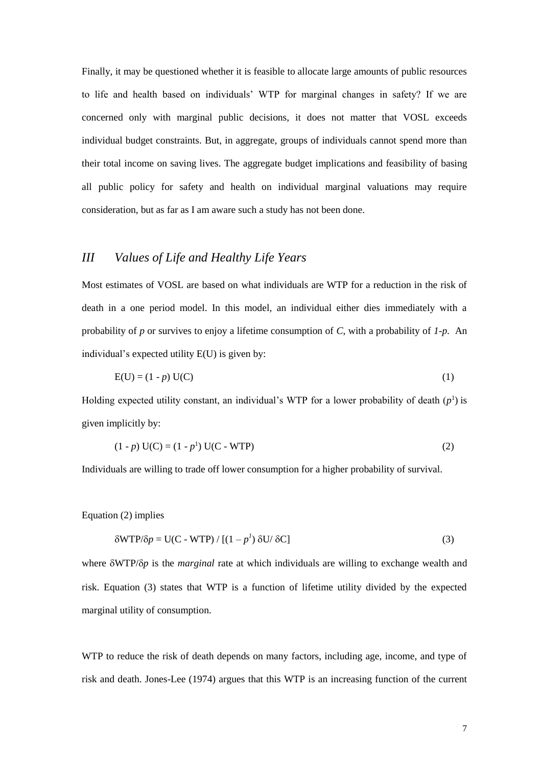Finally, it may be questioned whether it is feasible to allocate large amounts of public resources to life and health based on individuals' WTP for marginal changes in safety? If we are concerned only with marginal public decisions, it does not matter that VOSL exceeds individual budget constraints. But, in aggregate, groups of individuals cannot spend more than their total income on saving lives. The aggregate budget implications and feasibility of basing all public policy for safety and health on individual marginal valuations may require consideration, but as far as I am aware such a study has not been done.

## *III Values of Life and Healthy Life Years*

Most estimates of VOSL are based on what individuals are WTP for a reduction in the risk of death in a one period model. In this model, an individual either dies immediately with a probability of *p* or survives to enjoy a lifetime consumption of *C*, with a probability of *1-p*. An individual's expected utility E(U) is given by:

$$
E(U) = (1 - p) U(C)
$$
 (1)

Holding expected utility constant, an individual's WTP for a lower probability of death  $(p<sup>1</sup>)$  is given implicitly by:

$$
(1 - p) U(C) = (1 - p1) U(C - WTP)
$$
 (2)

Individuals are willing to trade off lower consumption for a higher probability of survival.

Equation (2) implies

$$
\delta WTP/\delta p = U(C - WTP) / [(1 - p^l) \delta U / \delta C]
$$
\n(3)

where  $\delta WTP/\delta p$  is the *marginal* rate at which individuals are willing to exchange wealth and risk. Equation (3) states that WTP is a function of lifetime utility divided by the expected marginal utility of consumption.

WTP to reduce the risk of death depends on many factors, including age, income, and type of risk and death. Jones-Lee (1974) argues that this WTP is an increasing function of the current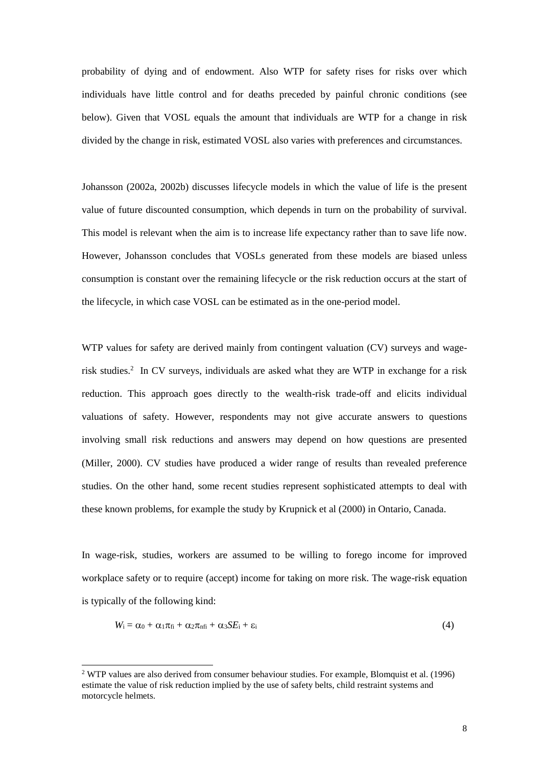probability of dying and of endowment. Also WTP for safety rises for risks over which individuals have little control and for deaths preceded by painful chronic conditions (see below). Given that VOSL equals the amount that individuals are WTP for a change in risk divided by the change in risk, estimated VOSL also varies with preferences and circumstances.

Johansson (2002a, 2002b) discusses lifecycle models in which the value of life is the present value of future discounted consumption, which depends in turn on the probability of survival. This model is relevant when the aim is to increase life expectancy rather than to save life now. However, Johansson concludes that VOSLs generated from these models are biased unless consumption is constant over the remaining lifecycle or the risk reduction occurs at the start of the lifecycle, in which case VOSL can be estimated as in the one-period model.

WTP values for safety are derived mainly from contingent valuation (CV) surveys and wagerisk studies.<sup>2</sup> In CV surveys, individuals are asked what they are WTP in exchange for a risk reduction. This approach goes directly to the wealth-risk trade-off and elicits individual valuations of safety. However, respondents may not give accurate answers to questions involving small risk reductions and answers may depend on how questions are presented (Miller, 2000). CV studies have produced a wider range of results than revealed preference studies. On the other hand, some recent studies represent sophisticated attempts to deal with these known problems, for example the study by Krupnick et al (2000) in Ontario, Canada.

In wage-risk, studies, workers are assumed to be willing to forego income for improved workplace safety or to require (accept) income for taking on more risk. The wage-risk equation is typically of the following kind:

$$
W_i = \alpha_0 + \alpha_1 \pi_{fi} + \alpha_2 \pi_{nfi} + \alpha_3 SE_i + \varepsilon_i
$$
\n(4)

l

<sup>2</sup> WTP values are also derived from consumer behaviour studies. For example, Blomquist et al. (1996) estimate the value of risk reduction implied by the use of safety belts, child restraint systems and motorcycle helmets.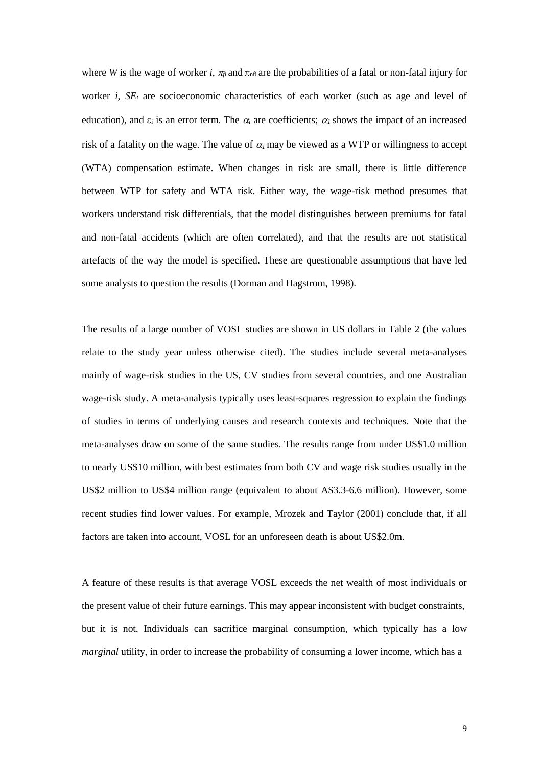where *W* is the wage of worker *i*,  $\pi_{fi}$  and  $\pi_{nf}$  are the probabilities of a fatal or non-fatal injury for worker *i*, *SE<sup>i</sup>* are socioeconomic characteristics of each worker (such as age and level of education), and  $\varepsilon_i$  is an error term. The  $\alpha_i$  are coefficients;  $\alpha_i$  shows the impact of an increased risk of a fatality on the wage. The value of  $\alpha_l$  may be viewed as a WTP or willingness to accept (WTA) compensation estimate. When changes in risk are small, there is little difference between WTP for safety and WTA risk. Either way, the wage-risk method presumes that workers understand risk differentials, that the model distinguishes between premiums for fatal and non-fatal accidents (which are often correlated), and that the results are not statistical artefacts of the way the model is specified. These are questionable assumptions that have led some analysts to question the results (Dorman and Hagstrom, 1998).

The results of a large number of VOSL studies are shown in US dollars in Table 2 (the values relate to the study year unless otherwise cited). The studies include several meta-analyses mainly of wage-risk studies in the US, CV studies from several countries, and one Australian wage-risk study. A meta-analysis typically uses least-squares regression to explain the findings of studies in terms of underlying causes and research contexts and techniques. Note that the meta-analyses draw on some of the same studies. The results range from under US\$1.0 million to nearly US\$10 million, with best estimates from both CV and wage risk studies usually in the US\$2 million to US\$4 million range (equivalent to about A\$3.3-6.6 million). However, some recent studies find lower values. For example, Mrozek and Taylor (2001) conclude that, if all factors are taken into account, VOSL for an unforeseen death is about US\$2.0m.

A feature of these results is that average VOSL exceeds the net wealth of most individuals or the present value of their future earnings. This may appear inconsistent with budget constraints, but it is not. Individuals can sacrifice marginal consumption, which typically has a low *marginal* utility, in order to increase the probability of consuming a lower income, which has a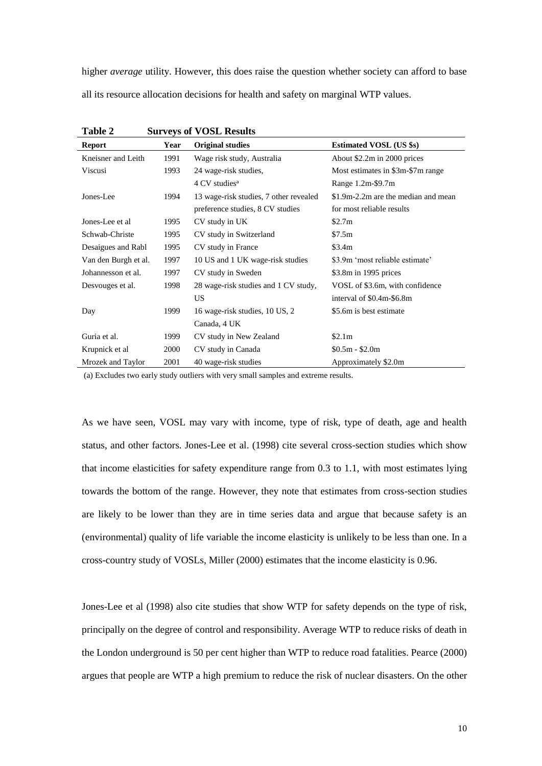higher *average* utility. However, this does raise the question whether society can afford to base all its resource allocation decisions for health and safety on marginal WTP values.

| <b>Report</b>        | Year | <b>Original studies</b>                | <b>Estimated VOSL (US \$s)</b>      |
|----------------------|------|----------------------------------------|-------------------------------------|
| Kneisner and Leith   | 1991 | Wage risk study, Australia             | About \$2.2m in 2000 prices         |
| Viscusi              | 1993 | 24 wage-risk studies,                  | Most estimates in \$3m-\$7m range   |
|                      |      | 4 CV studies <sup>a</sup>              | Range 1.2m-\$9.7m                   |
| Jones-Lee            | 1994 | 13 wage-risk studies, 7 other revealed | \$1.9m-2.2m are the median and mean |
|                      |      | preference studies, 8 CV studies       | for most reliable results           |
| Jones-Lee et al      | 1995 | CV study in UK                         | \$2.7m                              |
| Schwab-Christe       | 1995 | CV study in Switzerland                | \$7.5m                              |
| Desaigues and Rabl   | 1995 | CV study in France                     | \$3.4m                              |
| Van den Burgh et al. | 1997 | 10 US and 1 UK wage-risk studies       | \$3.9m 'most reliable estimate'     |
| Johannesson et al.   | 1997 | CV study in Sweden                     | \$3.8m in 1995 prices               |
| Desvouges et al.     | 1998 | 28 wage-risk studies and 1 CV study,   | VOSL of \$3.6m, with confidence     |
|                      |      | US.                                    | interval of \$0.4m-\$6.8m           |
| Day                  | 1999 | 16 wage-risk studies, 10 US, 2         | \$5.6m is best estimate             |
|                      |      | Canada, 4 UK                           |                                     |
| Guria et al.         | 1999 | CV study in New Zealand                | \$2.1m                              |
| Krupnick et al       | 2000 | CV study in Canada                     | $$0.5m - $2.0m$$                    |
| Mrozek and Taylor    | 2001 | 40 wage-risk studies                   | Approximately \$2.0m                |

**Table 2 Surveys of VOSL Results**

(a) Excludes two early study outliers with very small samples and extreme results.

As we have seen, VOSL may vary with income, type of risk, type of death, age and health status, and other factors. Jones-Lee et al. (1998) cite several cross-section studies which show that income elasticities for safety expenditure range from 0.3 to 1.1, with most estimates lying towards the bottom of the range. However, they note that estimates from cross-section studies are likely to be lower than they are in time series data and argue that because safety is an (environmental) quality of life variable the income elasticity is unlikely to be less than one. In a cross-country study of VOSLs, Miller (2000) estimates that the income elasticity is 0.96.

Jones-Lee et al (1998) also cite studies that show WTP for safety depends on the type of risk, principally on the degree of control and responsibility. Average WTP to reduce risks of death in the London underground is 50 per cent higher than WTP to reduce road fatalities. Pearce (2000) argues that people are WTP a high premium to reduce the risk of nuclear disasters. On the other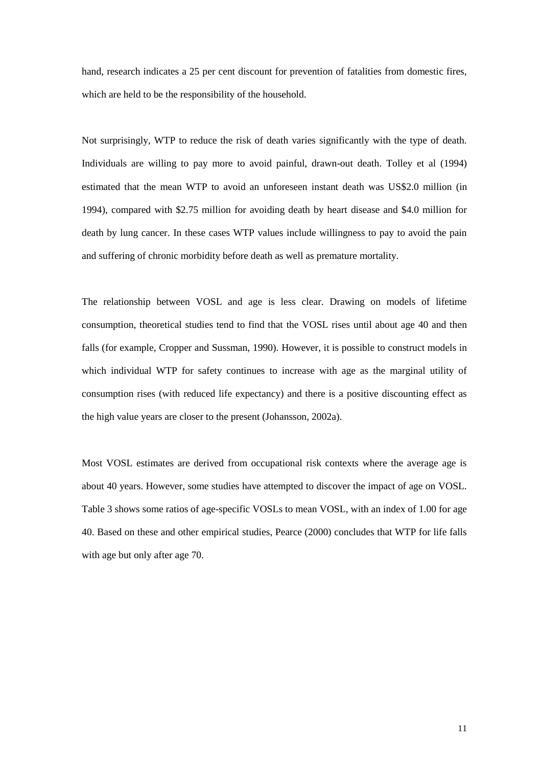hand, research indicates a 25 per cent discount for prevention of fatalities from domestic fires, which are held to be the responsibility of the household.

Not surprisingly, WTP to reduce the risk of death varies significantly with the type of death. Individuals are willing to pay more to avoid painful, drawn-out death. Tolley et al (1994) estimated that the mean WTP to avoid an unforeseen instant death was US\$2.0 million (in 1994), compared with \$2.75 million for avoiding death by heart disease and \$4.0 million for death by lung cancer. In these cases WTP values include willingness to pay to avoid the pain and suffering of chronic morbidity before death as well as premature mortality.

The relationship between VOSL and age is less clear. Drawing on models of lifetime consumption, theoretical studies tend to find that the VOSL rises until about age 40 and then falls (for example, Cropper and Sussman, 1990). However, it is possible to construct models in which individual WTP for safety continues to increase with age as the marginal utility of consumption rises (with reduced life expectancy) and there is a positive discounting effect as the high value years are closer to the present (Johansson, 2002a).

Most VOSL estimates are derived from occupational risk contexts where the average age is about 40 years. However, some studies have attempted to discover the impact of age on VOSL. Table 3 shows some ratios of age-specific VOSLs to mean VOSL, with an index of 1.00 for age 40. Based on these and other empirical studies, Pearce (2000) concludes that WTP for life falls with age but only after age 70.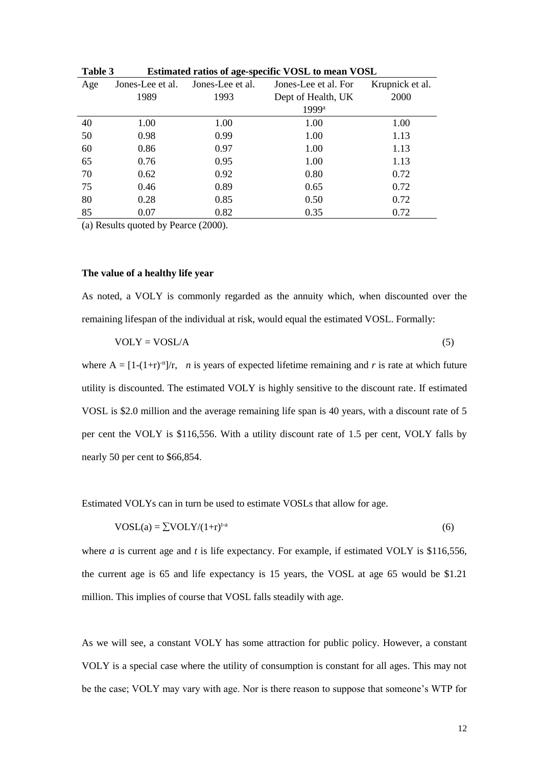| Table 3<br>Estimated ratios of age-specific VOSL to mean VOSL |                  |                  |                      |                 |  |
|---------------------------------------------------------------|------------------|------------------|----------------------|-----------------|--|
| Age                                                           | Jones-Lee et al. | Jones-Lee et al. | Jones-Lee et al. For | Krupnick et al. |  |
|                                                               | 1989             | 1993             | Dept of Health, UK   | 2000            |  |
|                                                               |                  |                  | 1999 <sup>a</sup>    |                 |  |
| 40                                                            | 1.00             | 1.00             | 1.00                 | 1.00            |  |
| 50                                                            | 0.98             | 0.99             | 1.00                 | 1.13            |  |
| 60                                                            | 0.86             | 0.97             | 1.00                 | 1.13            |  |
| 65                                                            | 0.76             | 0.95             | 1.00                 | 1.13            |  |
| 70                                                            | 0.62             | 0.92             | 0.80                 | 0.72            |  |
| 75                                                            | 0.46             | 0.89             | 0.65                 | 0.72            |  |
| 80                                                            | 0.28             | 0.85             | 0.50                 | 0.72            |  |
| 85                                                            | 0.07             | 0.82             | 0.35                 | 0.72            |  |

(a) Results quoted by Pearce (2000).

#### **The value of a healthy life year**

As noted, a VOLY is commonly regarded as the annuity which, when discounted over the remaining lifespan of the individual at risk, would equal the estimated VOSL. Formally:

$$
VOLY = VOSL/A
$$
 (5)

where  $A = [1-(1+r)^{-n}]/r$ , *n* is years of expected lifetime remaining and *r* is rate at which future utility is discounted. The estimated VOLY is highly sensitive to the discount rate. If estimated VOSL is \$2.0 million and the average remaining life span is 40 years, with a discount rate of 5 per cent the VOLY is \$116,556. With a utility discount rate of 1.5 per cent, VOLY falls by nearly 50 per cent to \$66,854.

Estimated VOLYs can in turn be used to estimate VOSLs that allow for age.

$$
VOSL(a) = \sum VOLY/(1+r)^{t-a}
$$
 (6)

where *a* is current age and *t* is life expectancy. For example, if estimated VOLY is \$116,556, the current age is 65 and life expectancy is 15 years, the VOSL at age 65 would be \$1.21 million. This implies of course that VOSL falls steadily with age.

As we will see, a constant VOLY has some attraction for public policy. However, a constant VOLY is a special case where the utility of consumption is constant for all ages. This may not be the case; VOLY may vary with age. Nor is there reason to suppose that someone's WTP for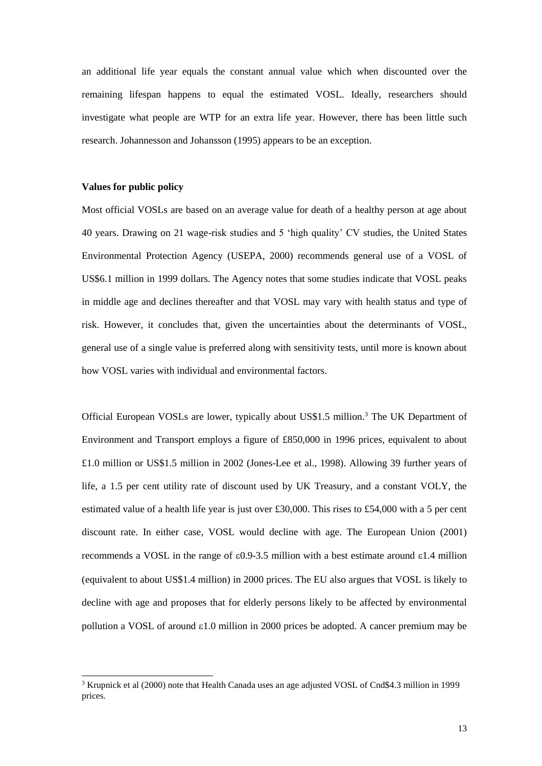an additional life year equals the constant annual value which when discounted over the remaining lifespan happens to equal the estimated VOSL. Ideally, researchers should investigate what people are WTP for an extra life year. However, there has been little such research. Johannesson and Johansson (1995) appears to be an exception.

#### **Values for public policy**

l

Most official VOSLs are based on an average value for death of a healthy person at age about 40 years. Drawing on 21 wage-risk studies and 5 'high quality' CV studies, the United States Environmental Protection Agency (USEPA, 2000) recommends general use of a VOSL of US\$6.1 million in 1999 dollars. The Agency notes that some studies indicate that VOSL peaks in middle age and declines thereafter and that VOSL may vary with health status and type of risk. However, it concludes that, given the uncertainties about the determinants of VOSL, general use of a single value is preferred along with sensitivity tests, until more is known about how VOSL varies with individual and environmental factors.

Official European VOSLs are lower, typically about US\$1.5 million.<sup>3</sup> The UK Department of Environment and Transport employs a figure of £850,000 in 1996 prices, equivalent to about £1.0 million or US\$1.5 million in 2002 (Jones-Lee et al., 1998). Allowing 39 further years of life, a 1.5 per cent utility rate of discount used by UK Treasury, and a constant VOLY, the estimated value of a health life year is just over £30,000. This rises to £54,000 with a 5 per cent discount rate. In either case, VOSL would decline with age. The European Union (2001) recommends a VOSL in the range of  $\varepsilon$ 0.9-3.5 million with a best estimate around  $\varepsilon$ 1.4 million (equivalent to about US\$1.4 million) in 2000 prices. The EU also argues that VOSL is likely to decline with age and proposes that for elderly persons likely to be affected by environmental pollution a VOSL of around  $\varepsilon$ 1.0 million in 2000 prices be adopted. A cancer premium may be

<sup>3</sup> Krupnick et al (2000) note that Health Canada uses an age adjusted VOSL of Cnd\$4.3 million in 1999 prices.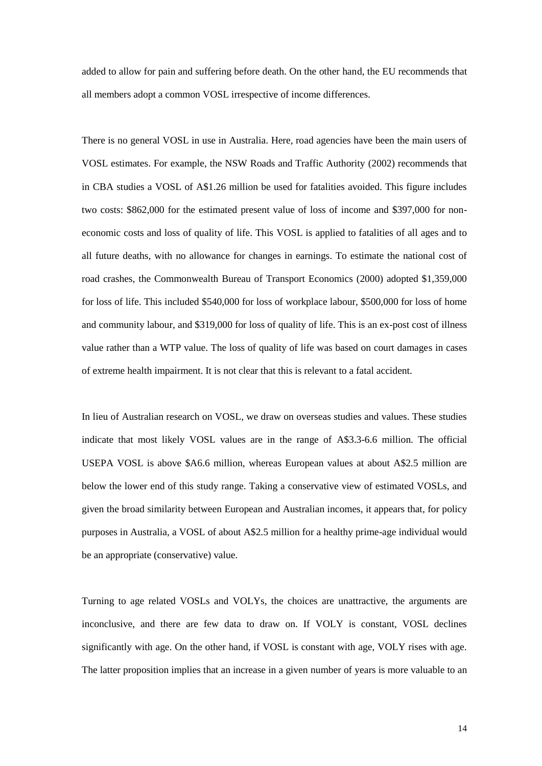added to allow for pain and suffering before death. On the other hand, the EU recommends that all members adopt a common VOSL irrespective of income differences.

There is no general VOSL in use in Australia. Here, road agencies have been the main users of VOSL estimates. For example, the NSW Roads and Traffic Authority (2002) recommends that in CBA studies a VOSL of A\$1.26 million be used for fatalities avoided. This figure includes two costs: \$862,000 for the estimated present value of loss of income and \$397,000 for noneconomic costs and loss of quality of life. This VOSL is applied to fatalities of all ages and to all future deaths, with no allowance for changes in earnings. To estimate the national cost of road crashes, the Commonwealth Bureau of Transport Economics (2000) adopted \$1,359,000 for loss of life. This included \$540,000 for loss of workplace labour, \$500,000 for loss of home and community labour, and \$319,000 for loss of quality of life. This is an ex-post cost of illness value rather than a WTP value. The loss of quality of life was based on court damages in cases of extreme health impairment. It is not clear that this is relevant to a fatal accident.

In lieu of Australian research on VOSL, we draw on overseas studies and values. These studies indicate that most likely VOSL values are in the range of A\$3.3-6.6 million. The official USEPA VOSL is above \$A6.6 million, whereas European values at about A\$2.5 million are below the lower end of this study range. Taking a conservative view of estimated VOSLs, and given the broad similarity between European and Australian incomes, it appears that, for policy purposes in Australia, a VOSL of about A\$2.5 million for a healthy prime-age individual would be an appropriate (conservative) value*.*

Turning to age related VOSLs and VOLYs, the choices are unattractive, the arguments are inconclusive, and there are few data to draw on. If VOLY is constant, VOSL declines significantly with age. On the other hand, if VOSL is constant with age, VOLY rises with age. The latter proposition implies that an increase in a given number of years is more valuable to an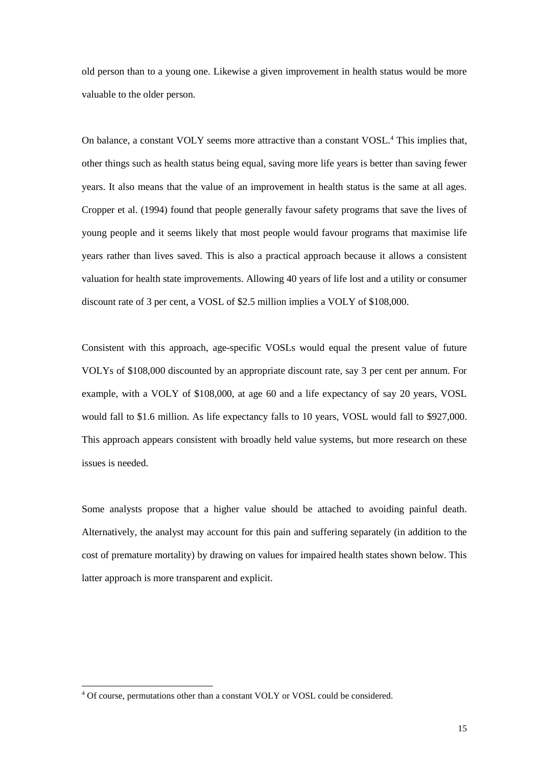old person than to a young one. Likewise a given improvement in health status would be more valuable to the older person.

On balance, a constant VOLY seems more attractive than a constant VOSL.<sup>4</sup> This implies that, other things such as health status being equal, saving more life years is better than saving fewer years. It also means that the value of an improvement in health status is the same at all ages. Cropper et al. (1994) found that people generally favour safety programs that save the lives of young people and it seems likely that most people would favour programs that maximise life years rather than lives saved. This is also a practical approach because it allows a consistent valuation for health state improvements. Allowing 40 years of life lost and a utility or consumer discount rate of 3 per cent, a VOSL of \$2.5 million implies a VOLY of \$108,000.

Consistent with this approach, age-specific VOSLs would equal the present value of future VOLYs of \$108,000 discounted by an appropriate discount rate, say 3 per cent per annum. For example, with a VOLY of \$108,000, at age 60 and a life expectancy of say 20 years, VOSL would fall to \$1.6 million. As life expectancy falls to 10 years, VOSL would fall to \$927,000. This approach appears consistent with broadly held value systems, but more research on these issues is needed.

Some analysts propose that a higher value should be attached to avoiding painful death. Alternatively, the analyst may account for this pain and suffering separately (in addition to the cost of premature mortality) by drawing on values for impaired health states shown below. This latter approach is more transparent and explicit.

l

<sup>&</sup>lt;sup>4</sup> Of course, permutations other than a constant VOLY or VOSL could be considered.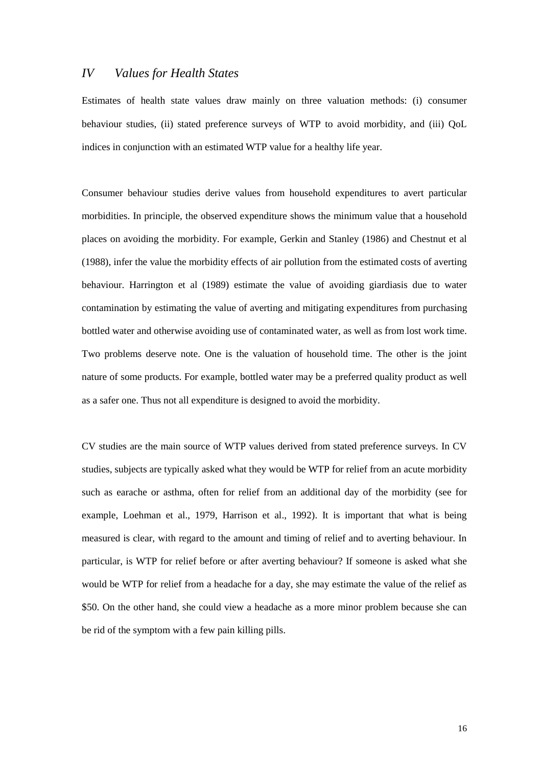## *IV Values for Health States*

Estimates of health state values draw mainly on three valuation methods: (i) consumer behaviour studies, (ii) stated preference surveys of WTP to avoid morbidity, and (iii) QoL indices in conjunction with an estimated WTP value for a healthy life year.

Consumer behaviour studies derive values from household expenditures to avert particular morbidities. In principle, the observed expenditure shows the minimum value that a household places on avoiding the morbidity. For example, Gerkin and Stanley (1986) and Chestnut et al (1988), infer the value the morbidity effects of air pollution from the estimated costs of averting behaviour. Harrington et al (1989) estimate the value of avoiding giardiasis due to water contamination by estimating the value of averting and mitigating expenditures from purchasing bottled water and otherwise avoiding use of contaminated water, as well as from lost work time. Two problems deserve note. One is the valuation of household time. The other is the joint nature of some products. For example, bottled water may be a preferred quality product as well as a safer one. Thus not all expenditure is designed to avoid the morbidity.

CV studies are the main source of WTP values derived from stated preference surveys. In CV studies, subjects are typically asked what they would be WTP for relief from an acute morbidity such as earache or asthma, often for relief from an additional day of the morbidity (see for example, Loehman et al., 1979, Harrison et al., 1992). It is important that what is being measured is clear, with regard to the amount and timing of relief and to averting behaviour. In particular, is WTP for relief before or after averting behaviour? If someone is asked what she would be WTP for relief from a headache for a day, she may estimate the value of the relief as \$50. On the other hand, she could view a headache as a more minor problem because she can be rid of the symptom with a few pain killing pills.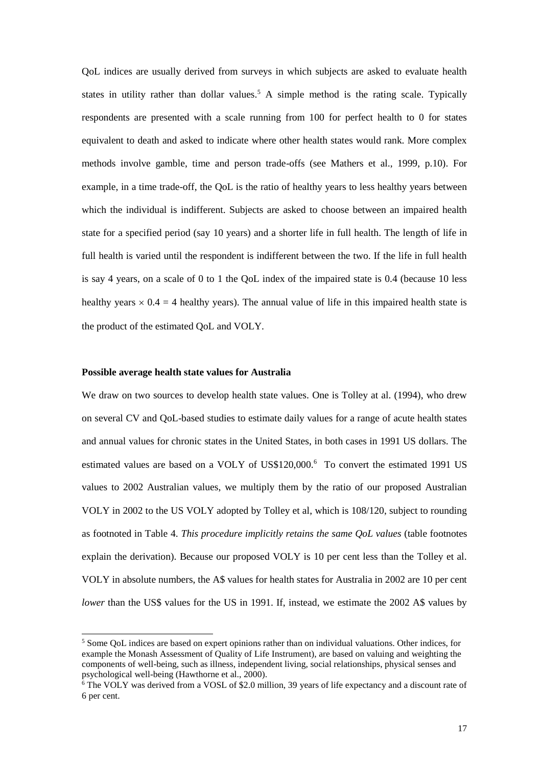QoL indices are usually derived from surveys in which subjects are asked to evaluate health states in utility rather than dollar values.<sup>5</sup> A simple method is the rating scale. Typically respondents are presented with a scale running from 100 for perfect health to 0 for states equivalent to death and asked to indicate where other health states would rank. More complex methods involve gamble, time and person trade-offs (see Mathers et al., 1999, p.10). For example, in a time trade-off, the QoL is the ratio of healthy years to less healthy years between which the individual is indifferent. Subjects are asked to choose between an impaired health state for a specified period (say 10 years) and a shorter life in full health. The length of life in full health is varied until the respondent is indifferent between the two. If the life in full health is say 4 years, on a scale of 0 to 1 the QoL index of the impaired state is 0.4 (because 10 less healthy years  $\times$  0.4 = 4 healthy years). The annual value of life in this impaired health state is the product of the estimated QoL and VOLY.

#### **Possible average health state values for Australia**

l

We draw on two sources to develop health state values. One is Tolley at al. (1994), who drew on several CV and QoL-based studies to estimate daily values for a range of acute health states and annual values for chronic states in the United States, in both cases in 1991 US dollars. The estimated values are based on a VOLY of US\$120,000.<sup>6</sup> To convert the estimated 1991 US values to 2002 Australian values, we multiply them by the ratio of our proposed Australian VOLY in 2002 to the US VOLY adopted by Tolley et al, which is 108/120, subject to rounding as footnoted in Table 4. *This procedure implicitly retains the same QoL values* (table footnotes explain the derivation). Because our proposed VOLY is 10 per cent less than the Tolley et al. VOLY in absolute numbers, the A\$ values for health states for Australia in 2002 are 10 per cent *lower* than the US\$ values for the US in 1991. If, instead, we estimate the 2002 A\$ values by

<sup>5</sup> Some QoL indices are based on expert opinions rather than on individual valuations. Other indices, for example the Monash Assessment of Quality of Life Instrument), are based on valuing and weighting the components of well-being, such as illness, independent living, social relationships, physical senses and psychological well-being (Hawthorne et al., 2000).

<sup>&</sup>lt;sup>6</sup> The VOLY was derived from a VOSL of \$2.0 million, 39 years of life expectancy and a discount rate of 6 per cent.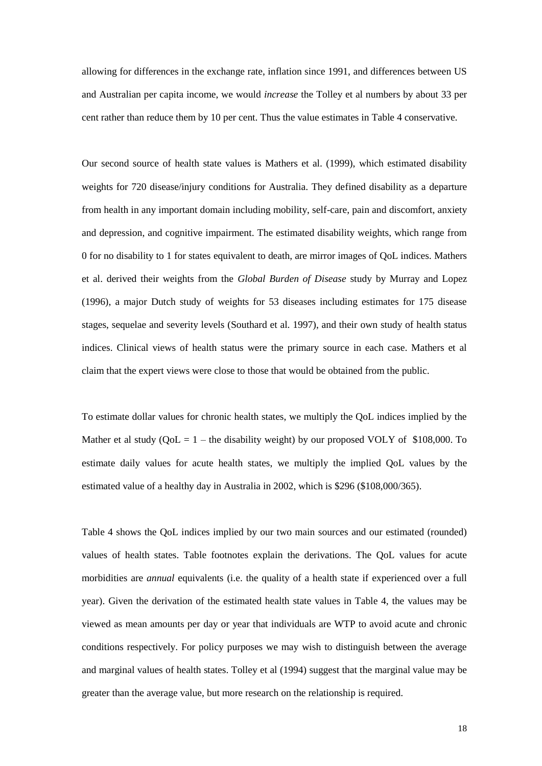allowing for differences in the exchange rate, inflation since 1991, and differences between US and Australian per capita income, we would *increase* the Tolley et al numbers by about 33 per cent rather than reduce them by 10 per cent. Thus the value estimates in Table 4 conservative.

Our second source of health state values is Mathers et al. (1999), which estimated disability weights for 720 disease/injury conditions for Australia. They defined disability as a departure from health in any important domain including mobility, self-care, pain and discomfort, anxiety and depression, and cognitive impairment. The estimated disability weights, which range from 0 for no disability to 1 for states equivalent to death, are mirror images of QoL indices. Mathers et al. derived their weights from the *Global Burden of Disease* study by Murray and Lopez (1996), a major Dutch study of weights for 53 diseases including estimates for 175 disease stages, sequelae and severity levels (Southard et al. 1997), and their own study of health status indices. Clinical views of health status were the primary source in each case. Mathers et al claim that the expert views were close to those that would be obtained from the public.

To estimate dollar values for chronic health states, we multiply the QoL indices implied by the Mather et al study ( $QoL = 1$  – the disability weight) by our proposed VOLY of \$108,000. To estimate daily values for acute health states, we multiply the implied QoL values by the estimated value of a healthy day in Australia in 2002, which is \$296 (\$108,000/365).

Table 4 shows the QoL indices implied by our two main sources and our estimated (rounded) values of health states. Table footnotes explain the derivations. The QoL values for acute morbidities are *annual* equivalents (i.e. the quality of a health state if experienced over a full year). Given the derivation of the estimated health state values in Table 4, the values may be viewed as mean amounts per day or year that individuals are WTP to avoid acute and chronic conditions respectively. For policy purposes we may wish to distinguish between the average and marginal values of health states. Tolley et al (1994) suggest that the marginal value may be greater than the average value, but more research on the relationship is required.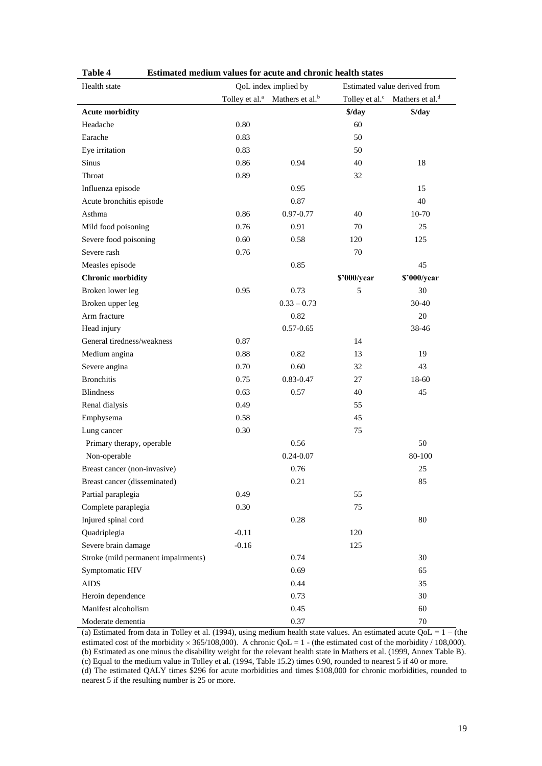| Estimated medium values for acute and chronic health states<br>Table 4 |         |                                                        |             |                                                        |  |  |
|------------------------------------------------------------------------|---------|--------------------------------------------------------|-------------|--------------------------------------------------------|--|--|
| Health state                                                           |         | QoL index implied by                                   |             | Estimated value derived from                           |  |  |
|                                                                        |         | Tolley et al. <sup>a</sup> Mathers et al. <sup>b</sup> |             | Tolley et al. <sup>c</sup> Mathers et al. <sup>d</sup> |  |  |
| <b>Acute morbidity</b>                                                 |         |                                                        | \$/day      | \$/day                                                 |  |  |
| Headache                                                               | 0.80    |                                                        | 60          |                                                        |  |  |
| Earache                                                                | 0.83    |                                                        | 50          |                                                        |  |  |
| Eye irritation                                                         | 0.83    |                                                        | 50          |                                                        |  |  |
| Sinus                                                                  | 0.86    | 0.94                                                   | 40          | 18                                                     |  |  |
| Throat                                                                 | 0.89    |                                                        | 32          |                                                        |  |  |
| Influenza episode                                                      |         | 0.95                                                   |             | 15                                                     |  |  |
| Acute bronchitis episode                                               |         | 0.87                                                   |             | 40                                                     |  |  |
| Asthma                                                                 | 0.86    | $0.97 - 0.77$                                          | 40          | 10-70                                                  |  |  |
| Mild food poisoning                                                    | 0.76    | 0.91                                                   | 70          | 25                                                     |  |  |
| Severe food poisoning                                                  | 0.60    | 0.58                                                   | 120         | 125                                                    |  |  |
| Severe rash                                                            | 0.76    |                                                        | 70          |                                                        |  |  |
| Measles episode                                                        |         | 0.85                                                   |             | 45                                                     |  |  |
| <b>Chronic morbidity</b>                                               |         |                                                        | \$'000/year | \$'000/year                                            |  |  |
| Broken lower leg                                                       | 0.95    | 0.73                                                   | 5           | 30                                                     |  |  |
| Broken upper leg                                                       |         | $0.33 - 0.73$                                          |             | $30 - 40$                                              |  |  |
| Arm fracture                                                           |         | 0.82                                                   |             | 20                                                     |  |  |
| Head injury                                                            |         | $0.57 - 0.65$                                          |             | 38-46                                                  |  |  |
| General tiredness/weakness                                             | 0.87    |                                                        | 14          |                                                        |  |  |
| Medium angina                                                          | 0.88    | 0.82                                                   | 13          | 19                                                     |  |  |
| Severe angina                                                          | 0.70    | 0.60                                                   | 32          | 43                                                     |  |  |
| <b>Bronchitis</b>                                                      | 0.75    | $0.83 - 0.47$                                          | 27          | 18-60                                                  |  |  |
| <b>Blindness</b>                                                       | 0.63    | 0.57                                                   | 40          | 45                                                     |  |  |
| Renal dialysis                                                         | 0.49    |                                                        | 55          |                                                        |  |  |
| Emphysema                                                              | 0.58    |                                                        | 45          |                                                        |  |  |
| Lung cancer                                                            | 0.30    |                                                        | 75          |                                                        |  |  |
| Primary therapy, operable                                              |         | 0.56                                                   |             | 50                                                     |  |  |
| Non-operable                                                           |         | $0.24 - 0.07$                                          |             | 80-100                                                 |  |  |
| Breast cancer (non-invasive)                                           |         | 0.76                                                   |             | 25                                                     |  |  |
| Breast cancer (disseminated)                                           |         | 0.21                                                   |             | 85                                                     |  |  |
| Partial paraplegia                                                     | 0.49    |                                                        | 55          |                                                        |  |  |
| Complete paraplegia                                                    | 0.30    |                                                        | 75          |                                                        |  |  |
| Injured spinal cord                                                    |         | 0.28                                                   |             | $80\,$                                                 |  |  |
| Quadriplegia                                                           | $-0.11$ |                                                        | 120         |                                                        |  |  |
| Severe brain damage                                                    | $-0.16$ |                                                        | 125         |                                                        |  |  |
| Stroke (mild permanent impairments)                                    |         | 0.74                                                   |             | 30                                                     |  |  |
| Symptomatic HIV                                                        |         | 0.69                                                   |             | 65                                                     |  |  |
| <b>AIDS</b>                                                            |         | 0.44                                                   |             | 35                                                     |  |  |
| Heroin dependence                                                      |         | 0.73                                                   |             | 30                                                     |  |  |
| Manifest alcoholism                                                    |         | 0.45                                                   |             | 60                                                     |  |  |
| Moderate dementia                                                      |         | 0.37                                                   |             | $70\,$                                                 |  |  |

(a) Estimated from data in Tolley et al. (1994), using medium health state values. An estimated acute  $QoL = 1 - (the$ estimated cost of the morbidity  $\times$  365/108,000). A chronic QoL = 1 - (the estimated cost of the morbidity / 108,000). (b) Estimated as one minus the disability weight for the relevant health state in Mathers et al. (1999, Annex Table B). (c) Equal to the medium value in Tolley et al. (1994, Table 15.2) times 0.90, rounded to nearest 5 if 40 or more.

(d) The estimated QALY times \$296 for acute morbidities and times \$108,000 for chronic morbidities, rounded to nearest 5 if the resulting number is 25 or more.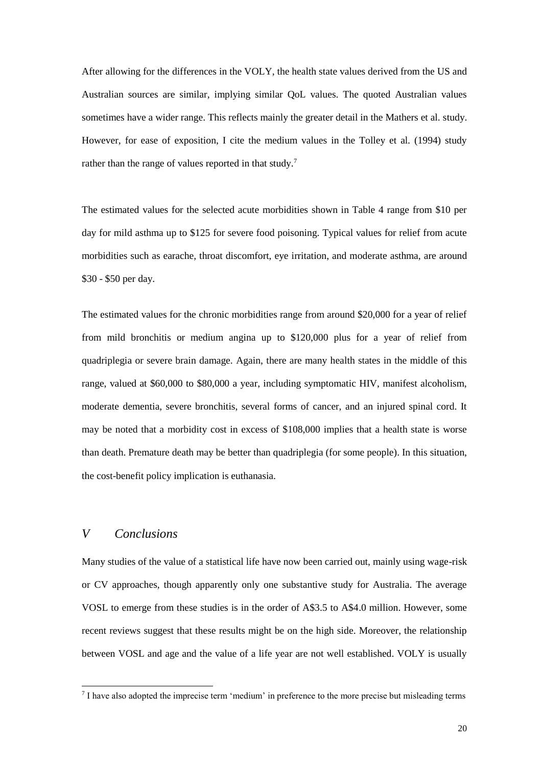After allowing for the differences in the VOLY, the health state values derived from the US and Australian sources are similar, implying similar QoL values. The quoted Australian values sometimes have a wider range. This reflects mainly the greater detail in the Mathers et al. study. However, for ease of exposition, I cite the medium values in the Tolley et al. (1994) study rather than the range of values reported in that study.<sup>7</sup>

The estimated values for the selected acute morbidities shown in Table 4 range from \$10 per day for mild asthma up to \$125 for severe food poisoning. Typical values for relief from acute morbidities such as earache, throat discomfort, eye irritation, and moderate asthma, are around \$30 - \$50 per day.

The estimated values for the chronic morbidities range from around \$20,000 for a year of relief from mild bronchitis or medium angina up to \$120,000 plus for a year of relief from quadriplegia or severe brain damage. Again, there are many health states in the middle of this range, valued at \$60,000 to \$80,000 a year, including symptomatic HIV, manifest alcoholism, moderate dementia, severe bronchitis, several forms of cancer, and an injured spinal cord. It may be noted that a morbidity cost in excess of \$108,000 implies that a health state is worse than death. Premature death may be better than quadriplegia (for some people). In this situation, the cost-benefit policy implication is euthanasia.

## *V Conclusions*

l

Many studies of the value of a statistical life have now been carried out, mainly using wage-risk or CV approaches, though apparently only one substantive study for Australia. The average VOSL to emerge from these studies is in the order of A\$3.5 to A\$4.0 million. However, some recent reviews suggest that these results might be on the high side. Moreover, the relationship between VOSL and age and the value of a life year are not well established. VOLY is usually

<sup>7</sup> I have also adopted the imprecise term 'medium' in preference to the more precise but misleading terms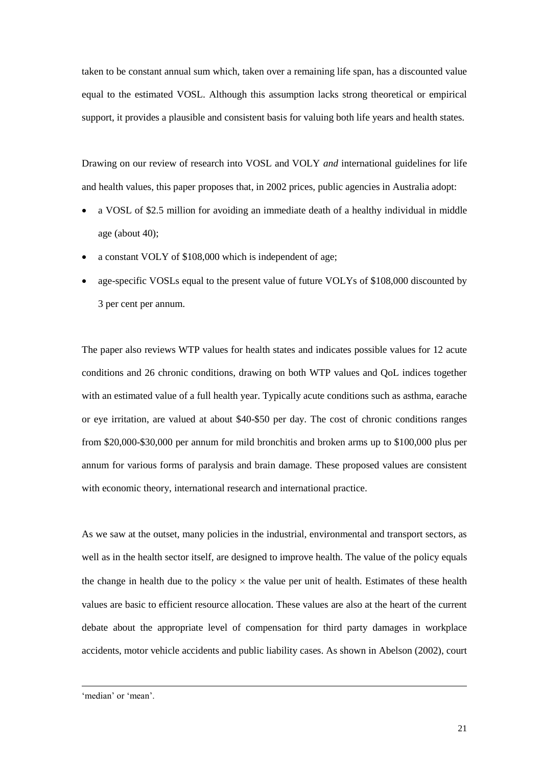taken to be constant annual sum which, taken over a remaining life span, has a discounted value equal to the estimated VOSL. Although this assumption lacks strong theoretical or empirical support, it provides a plausible and consistent basis for valuing both life years and health states.

Drawing on our review of research into VOSL and VOLY *and* international guidelines for life and health values, this paper proposes that, in 2002 prices, public agencies in Australia adopt:

- a VOSL of \$2.5 million for avoiding an immediate death of a healthy individual in middle age (about 40);
- a constant VOLY of \$108,000 which is independent of age;
- age-specific VOSLs equal to the present value of future VOLYs of \$108,000 discounted by 3 per cent per annum.

The paper also reviews WTP values for health states and indicates possible values for 12 acute conditions and 26 chronic conditions, drawing on both WTP values and QoL indices together with an estimated value of a full health year. Typically acute conditions such as asthma, earache or eye irritation, are valued at about \$40-\$50 per day. The cost of chronic conditions ranges from \$20,000-\$30,000 per annum for mild bronchitis and broken arms up to \$100,000 plus per annum for various forms of paralysis and brain damage. These proposed values are consistent with economic theory, international research and international practice.

As we saw at the outset, many policies in the industrial, environmental and transport sectors, as well as in the health sector itself, are designed to improve health. The value of the policy equals the change in health due to the policy  $\times$  the value per unit of health. Estimates of these health values are basic to efficient resource allocation. These values are also at the heart of the current debate about the appropriate level of compensation for third party damages in workplace accidents, motor vehicle accidents and public liability cases. As shown in Abelson (2002), court

l

<sup>&#</sup>x27;median' or 'mean'.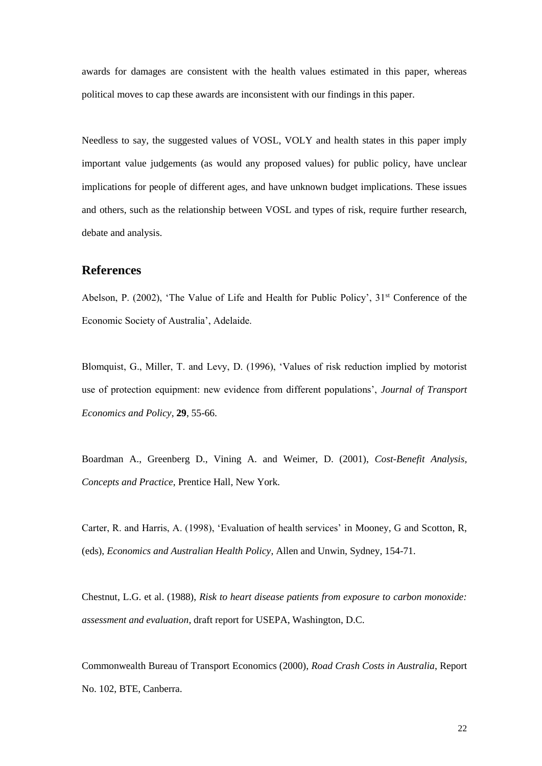awards for damages are consistent with the health values estimated in this paper, whereas political moves to cap these awards are inconsistent with our findings in this paper.

Needless to say, the suggested values of VOSL, VOLY and health states in this paper imply important value judgements (as would any proposed values) for public policy, have unclear implications for people of different ages, and have unknown budget implications. These issues and others, such as the relationship between VOSL and types of risk, require further research, debate and analysis.

## **References**

Abelson, P. (2002), 'The Value of Life and Health for Public Policy',  $31<sup>st</sup>$  Conference of the Economic Society of Australia', Adelaide.

Blomquist, G., Miller, T. and Levy, D. (1996), 'Values of risk reduction implied by motorist use of protection equipment: new evidence from different populations', *Journal of Transport Economics and Policy*, **29**, 55-66.

Boardman A., Greenberg D., Vining A. and Weimer, D. (2001), *Cost-Benefit Analysis, Concepts and Practice*, Prentice Hall, New York.

Carter, R. and Harris, A. (1998), 'Evaluation of health services' in Mooney, G and Scotton, R, (eds), *Economics and Australian Health Policy*, Allen and Unwin, Sydney, 154-71.

Chestnut, L.G. et al. (1988), *Risk to heart disease patients from exposure to carbon monoxide: assessment and evaluation*, draft report for USEPA, Washington, D.C.

Commonwealth Bureau of Transport Economics (2000), *Road Crash Costs in Australia*, Report No. 102, BTE, Canberra.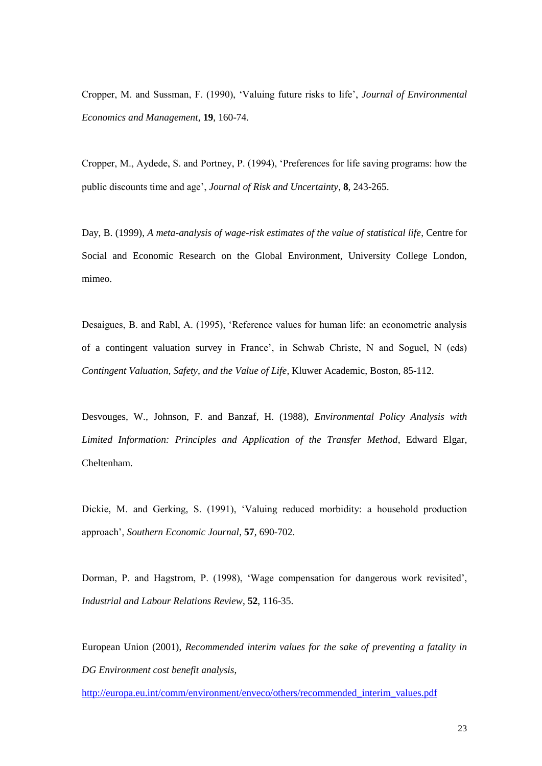Cropper, M. and Sussman, F. (1990), 'Valuing future risks to life', *Journal of Environmental Economics and Management*, **19**, 160-74.

Cropper, M., Aydede, S. and Portney, P. (1994), 'Preferences for life saving programs: how the public discounts time and age', *Journal of Risk and Uncertainty*, **8**, 243-265.

Day, B. (1999), *A meta-analysis of wage-risk estimates of the value of statistical life*, Centre for Social and Economic Research on the Global Environment, University College London, mimeo.

Desaigues, B. and Rabl, A. (1995), 'Reference values for human life: an econometric analysis of a contingent valuation survey in France', in Schwab Christe, N and Soguel, N (eds) *Contingent Valuation, Safety, and the Value of Life*, Kluwer Academic, Boston, 85-112.

Desvouges, W., Johnson, F. and Banzaf, H. (1988), *Environmental Policy Analysis with Limited Information: Principles and Application of the Transfer Method*, Edward Elgar, Cheltenham.

Dickie, M. and Gerking, S. (1991), 'Valuing reduced morbidity: a household production approach', *Southern Economic Journal*, **57**, 690-702.

Dorman, P. and Hagstrom, P. (1998), 'Wage compensation for dangerous work revisited', *Industrial and Labour Relations Review*, **52**, 116-35.

European Union (2001), *Recommended interim values for the sake of preventing a fatality in DG Environment cost benefit analysis*,

[http://europa.eu.int/comm/environment/enveco/others/recommended\\_interim\\_values.pdf](http://europa.eu.int/comm/environment/envecon/others/recommended_interim_values.pdf)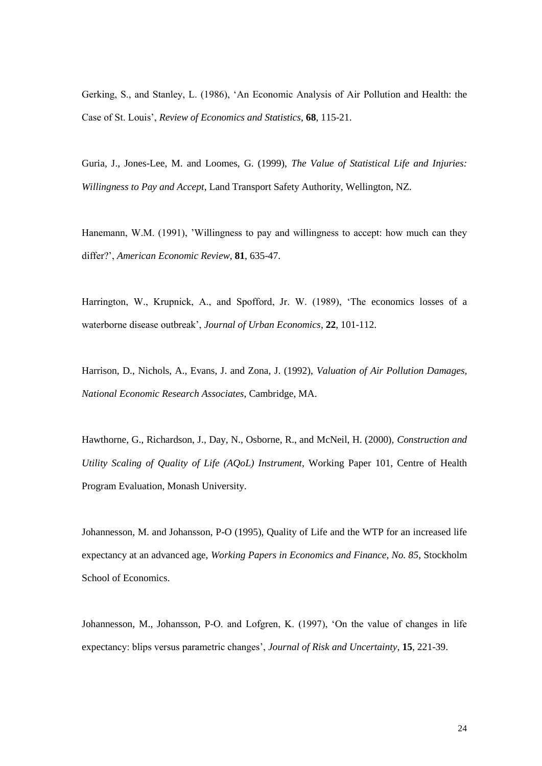Gerking, S., and Stanley, L. (1986), 'An Economic Analysis of Air Pollution and Health: the Case of St. Louis', *Review of Economics and Statistics*, **68**, 115-21.

Guria, J., Jones-Lee, M. and Loomes, G. (1999), *The Value of Statistical Life and Injuries: Willingness to Pay and Accept*, Land Transport Safety Authority, Wellington, NZ.

Hanemann, W.M. (1991), 'Willingness to pay and willingness to accept: how much can they differ?', *American Economic Review*, **81**, 635-47.

Harrington, W., Krupnick, A., and Spofford, Jr. W. (1989), 'The economics losses of a waterborne disease outbreak', *Journal of Urban Economics*, **22**, 101-112.

Harrison, D., Nichols, A., Evans, J. and Zona, J. (1992), *Valuation of Air Pollution Damages, National Economic Research Associates*, Cambridge, MA.

Hawthorne, G., Richardson, J., Day, N., Osborne, R., and McNeil, H. (2000), *Construction and Utility Scaling of Quality of Life (AQoL) Instrument*, Working Paper 101, Centre of Health Program Evaluation, Monash University.

Johannesson, M. and Johansson, P-O (1995), Quality of Life and the WTP for an increased life expectancy at an advanced age, *Working Papers in Economics and Finance, No. 85*, Stockholm School of Economics.

Johannesson, M., Johansson, P-O. and Lofgren, K. (1997), 'On the value of changes in life expectancy: blips versus parametric changes', *Journal of Risk and Uncertainty*, **15**, 221-39.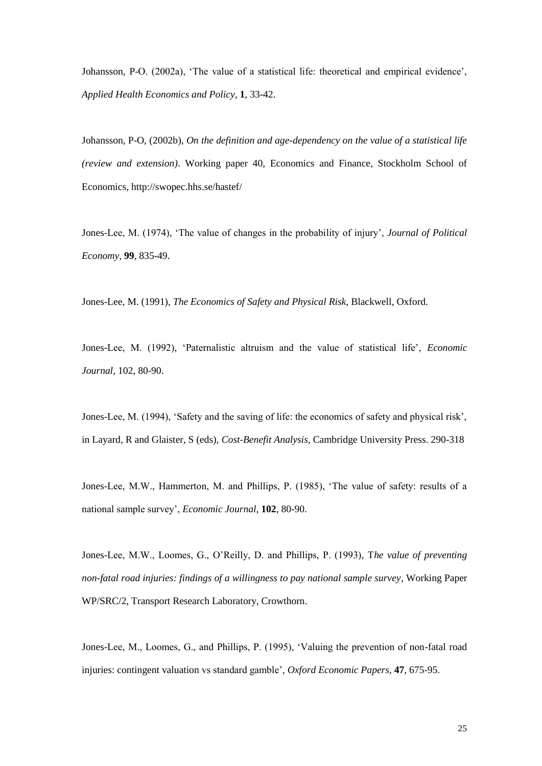Johansson, P-O. (2002a), 'The value of a statistical life: theoretical and empirical evidence', *Applied Health Economics and Policy*, **1**, 33-42.

Johansson, P-O, (2002b), *On the definition and age-dependency on the value of a statistical life (review and extension)*. Working paper 40, Economics and Finance, Stockholm School of Economics, http://swopec.hhs.se/hastef/

Jones-Lee, M. (1974), 'The value of changes in the probability of injury', *Journal of Political Economy*, **99**, 835-49.

Jones-Lee, M. (1991), *The Economics of Safety and Physical Risk*, Blackwell, Oxford.

Jones-Lee, M. (1992), 'Paternalistic altruism and the value of statistical life', *Economic Journal*, 102, 80-90.

Jones-Lee, M. (1994), 'Safety and the saving of life: the economics of safety and physical risk', in Layard, R and Glaister, S (eds), *Cost-Benefit Analysis*, Cambridge University Press. 290-318

Jones-Lee, M.W., Hammerton, M. and Phillips, P. (1985), 'The value of safety: results of a national sample survey', *Economic Journal*, **102**, 80-90.

Jones-Lee, M.W., Loomes, G., O'Reilly, D. and Phillips, P. (1993), T*he value of preventing non-fatal road injuries: findings of a willingness to pay national sample survey*, Working Paper WP/SRC/2, Transport Research Laboratory, Crowthorn.

Jones-Lee, M., Loomes, G., and Phillips, P. (1995), 'Valuing the prevention of non-fatal road injuries: contingent valuation vs standard gamble', *Oxford Economic Papers*, **47**, 675-95.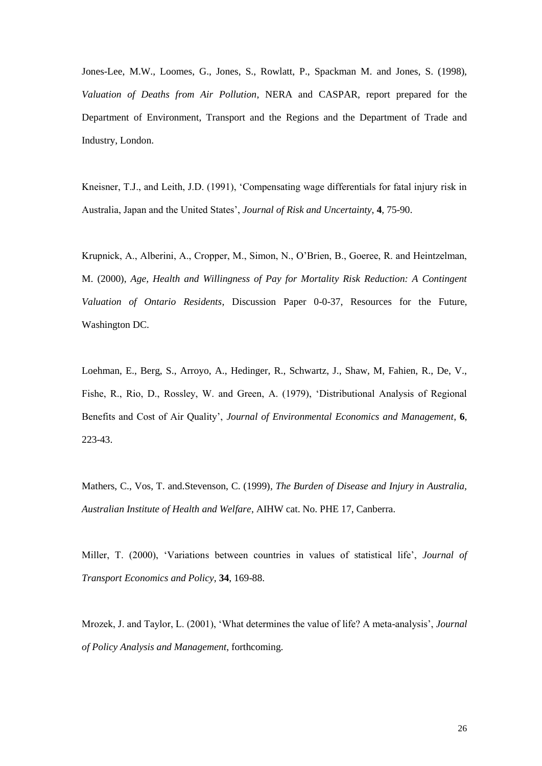Jones-Lee, M.W., Loomes, G., Jones, S., Rowlatt, P., Spackman M. and Jones, S. (1998), *Valuation of Deaths from Air Pollution*, NERA and CASPAR, report prepared for the Department of Environment, Transport and the Regions and the Department of Trade and Industry, London.

Kneisner, T.J., and Leith, J.D. (1991), 'Compensating wage differentials for fatal injury risk in Australia, Japan and the United States', *Journal of Risk and Uncertainty*, **4**, 75-90.

Krupnick, A., Alberini, A., Cropper, M., Simon, N., O'Brien, B., Goeree, R. and Heintzelman, M. (2000), *Age, Health and Willingness of Pay for Mortality Risk Reduction: A Contingent Valuation of Ontario Residents*, Discussion Paper 0-0-37, Resources for the Future, Washington DC.

Loehman, E., Berg, S., Arroyo, A., Hedinger, R., Schwartz, J., Shaw, M, Fahien, R., De, V., Fishe, R., Rio, D., Rossley, W. and Green, A. (1979), 'Distributional Analysis of Regional Benefits and Cost of Air Quality', *Journal of Environmental Economics and Management*, **6**, 223-43.

Mathers, C., Vos, T. and.Stevenson, C. (1999)*, The Burden of Disease and Injury in Australia, Australian Institute of Health and Welfare*, AIHW cat. No. PHE 17, Canberra.

Miller, T. (2000), 'Variations between countries in values of statistical life', *Journal of Transport Economics and Policy*, **34**, 169-88.

Mrozek, J. and Taylor, L. (2001), 'What determines the value of life? A meta-analysis', *Journal of Policy Analysis and Management*, forthcoming.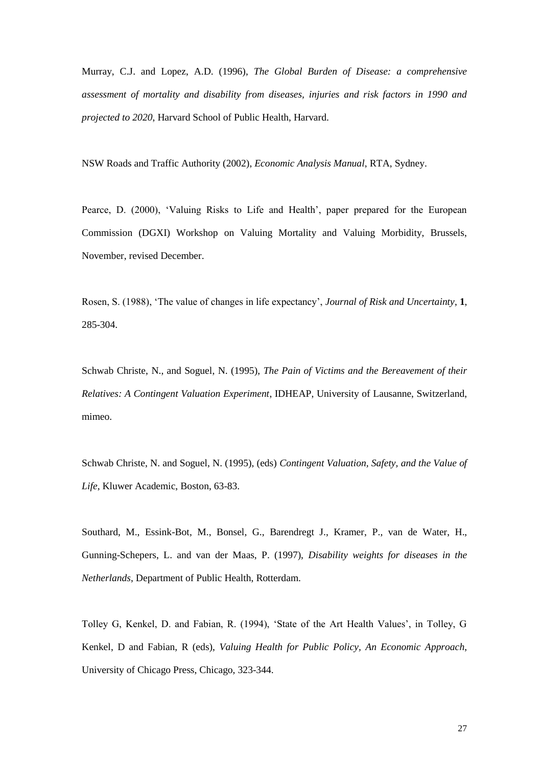Murray, C.J. and Lopez, A.D. (1996), *The Global Burden of Disease: a comprehensive assessment of mortality and disability from diseases, injuries and risk factors in 1990 and projected to 2020*, Harvard School of Public Health, Harvard.

NSW Roads and Traffic Authority (2002), *Economic Analysis Manual*, RTA, Sydney.

Pearce, D. (2000), 'Valuing Risks to Life and Health', paper prepared for the European Commission (DGXI) Workshop on Valuing Mortality and Valuing Morbidity, Brussels, November, revised December.

Rosen, S. (1988), 'The value of changes in life expectancy', *Journal of Risk and Uncertainty*, **1**, 285-304.

Schwab Christe, N., and Soguel, N. (1995), *The Pain of Victims and the Bereavement of their Relatives: A Contingent Valuation Experiment*, IDHEAP, University of Lausanne, Switzerland, mimeo.

Schwab Christe, N. and Soguel, N. (1995), (eds) *Contingent Valuation, Safety, and the Value of Life*, Kluwer Academic, Boston, 63-83.

Southard, M., Essink-Bot, M., Bonsel, G., Barendregt J., Kramer, P., van de Water, H., Gunning-Schepers, L. and van der Maas, P. (1997), *Disability weights for diseases in the Netherlands*, Department of Public Health, Rotterdam.

Tolley G, Kenkel, D. and Fabian, R. (1994), 'State of the Art Health Values', in Tolley, G Kenkel, D and Fabian, R (eds), *Valuing Health for Public Policy, An Economic Approach*, University of Chicago Press, Chicago, 323-344.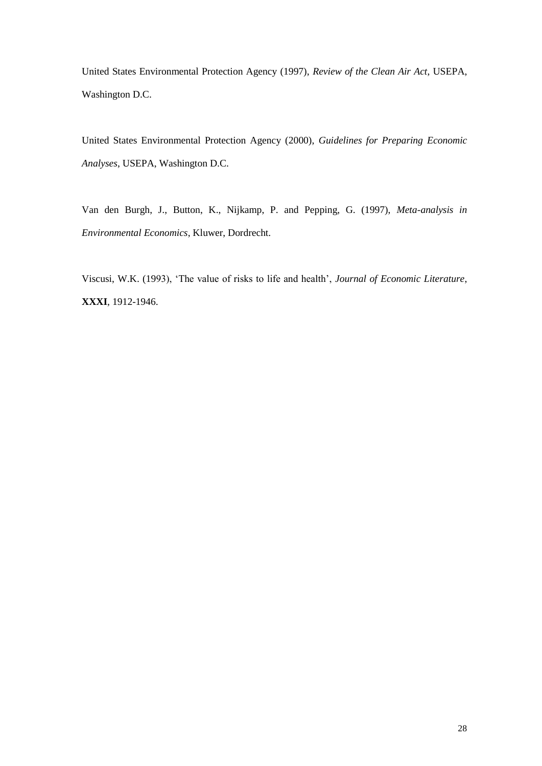United States Environmental Protection Agency (1997), *Review of the Clean Air Act*, USEPA, Washington D.C.

United States Environmental Protection Agency (2000), *Guidelines for Preparing Economic Analyses*, USEPA, Washington D.C.

Van den Burgh, J., Button, K., Nijkamp, P. and Pepping, G. (1997), *Meta-analysis in Environmental Economics*, Kluwer, Dordrecht.

Viscusi, W.K. (1993), 'The value of risks to life and health', *Journal of Economic Literature*, **XXXI**, 1912-1946.